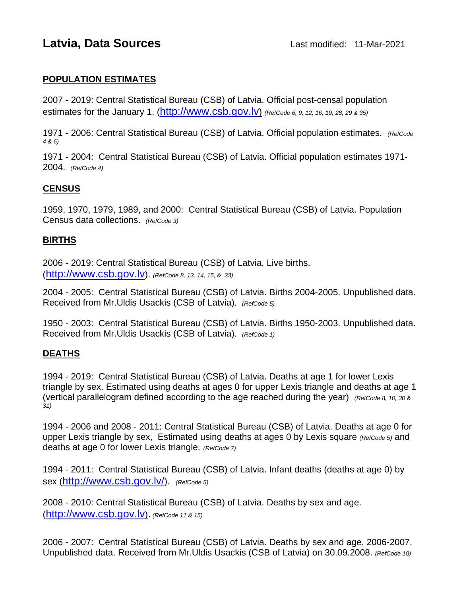# **Latvia, Data Sources Last modified: 11-Mar-2021**

### **POPULATION ESTIMATES**

2007 - 2019: Central Statistical Bureau (CSB) of Latvia. Official post-censal population estimates for the January 1. [\(http://www.csb.gov.lv\)](http://www.csb.gov.lv/) *(RefCode 6, 9, 12, 16, 19, 28, 29 & 35)*

1971 - 2006: Central Statistical Bureau (CSB) of Latvia. Official population estimates. *(RefCode 4 & 6)*

1971 - 2004: Central Statistical Bureau (CSB) of Latvia. Official population estimates 1971- 2004. *(RefCode 4)* 

### **CENSUS**

1959, 1970, 1979, 1989, and 2000: Central Statistical Bureau (CSB) of Latvia. Population Census data collections. *(RefCode 3)*

#### **BIRTHS**

2006 - 2019: Central Statistical Bureau (CSB) of Latvia. Live births. [\(http://www.csb.gov.lv\)](http://www.csb.gov.lv/). *(RefCode 8, 13, 14, 15, & 33)*

2004 - 2005: Central Statistical Bureau (CSB) of Latvia. Births 2004-2005. Unpublished data. Received from Mr.Uldis Usackis (CSB of Latvia). *(RefCode 5)*

1950 - 2003: Central Statistical Bureau (CSB) of Latvia. Births 1950-2003. Unpublished data. Received from Mr.Uldis Usackis (CSB of Latvia). *(RefCode 1)*

## **DEATHS**

1994 - 2019: Central Statistical Bureau (CSB) of Latvia. Deaths at age 1 for lower Lexis triangle by sex. Estimated using deaths at ages 0 for upper Lexis triangle and deaths at age 1 (vertical parallelogram defined according to the age reached during the year) *(RefCode 8, 10, 30 & 31)*

1994 - 2006 and 2008 - 2011: Central Statistical Bureau (CSB) of Latvia. Deaths at age 0 for upper Lexis triangle by sex, Estimated using deaths at ages 0 by Lexis square *(RefCode 5)* and deaths at age 0 for lower Lexis triangle. *(RefCode 7)*

1994 - 2011: Central Statistical Bureau (CSB) of Latvia. Infant deaths (deaths at age 0) by sex [\(http://www.csb.gov.lv/\)](http://www.csb.gov.lv/). *(RefCode 5)*

2008 - 2010: Central Statistical Bureau (CSB) of Latvia. Deaths by sex and age. [\(http://www.csb.gov.lv\)](http://www.csb.gov.lv/). *(RefCode 11 & 15)*

2006 - 2007: Central Statistical Bureau (CSB) of Latvia. Deaths by sex and age, 2006-2007. Unpublished data. Received from Mr.Uldis Usackis (CSB of Latvia) on 30.09.2008. *(RefCode 10)*